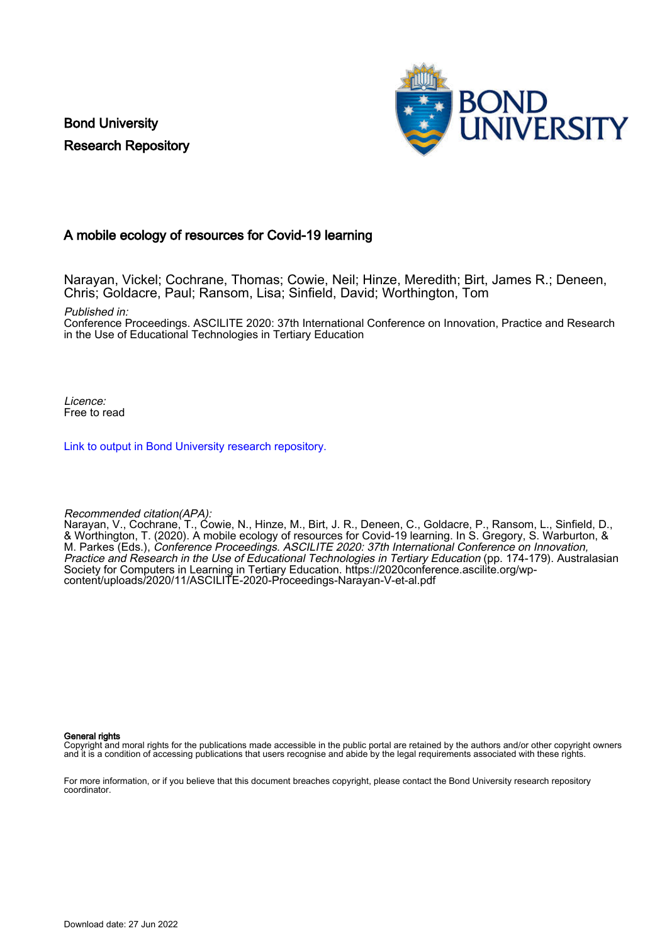Bond University Research Repository



#### A mobile ecology of resources for Covid-19 learning

Narayan, Vickel; Cochrane, Thomas; Cowie, Neil; Hinze, Meredith; Birt, James R.; Deneen, Chris; Goldacre, Paul; Ransom, Lisa; Sinfield, David; Worthington, Tom

Published in:

Conference Proceedings. ASCILITE 2020: 37th International Conference on Innovation, Practice and Research in the Use of Educational Technologies in Tertiary Education

Licence: Free to read

[Link to output in Bond University research repository.](https://research.bond.edu.au/en/publications/da83755a-44bc-4848-8015-df9cb202c27c)

#### Recommended citation(APA):

Narayan, V., Cochrane, T., Cowie, N., Hinze, M., Birt, J. R., Deneen, C., Goldacre, P., Ransom, L., Sinfield, D., & Worthington, T. (2020). A mobile ecology of resources for Covid-19 learning. In S. Gregory, S. Warburton, & M. Parkes (Eds.), Conference Proceedings. ASCILITE 2020: 37th International Conference on Innovation, Practice and Research in the Use of Educational Technologies in Tertiary Education (pp. 174-179). Australasian Society for Computers in Learning in Tertiary Education. [https://2020conference.ascilite.org/wp](https://2020conference.ascilite.org/wp-content/uploads/2020/11/ASCILITE-2020-Proceedings-Narayan-V-et-al.pdf)[content/uploads/2020/11/ASCILITE-2020-Proceedings-Narayan-V-et-al.pdf](https://2020conference.ascilite.org/wp-content/uploads/2020/11/ASCILITE-2020-Proceedings-Narayan-V-et-al.pdf)

#### General rights

Copyright and moral rights for the publications made accessible in the public portal are retained by the authors and/or other copyright owners and it is a condition of accessing publications that users recognise and abide by the legal requirements associated with these rights.

For more information, or if you believe that this document breaches copyright, please contact the Bond University research repository coordinator.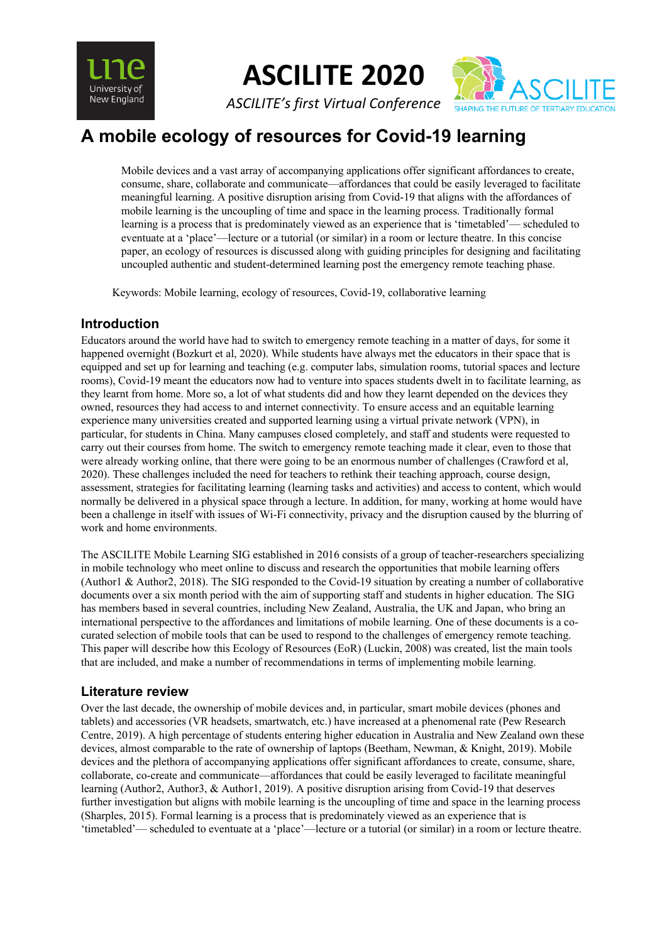

**ASCILITE 2020**

*ASCILITE's first Virtual Conference*



# **A mobile ecology of resources for Covid-19 learning**

Mobile devices and a vast array of accompanying applications offer significant affordances to create, consume, share, collaborate and communicate—affordances that could be easily leveraged to facilitate meaningful learning. A positive disruption arising from Covid-19 that aligns with the affordances of mobile learning is the uncoupling of time and space in the learning process. Traditionally formal learning is a process that is predominately viewed as an experience that is 'timetabled'— scheduled to eventuate at a 'place'—lecture or a tutorial (or similar) in a room or lecture theatre. In this concise paper, an ecology of resources is discussed along with guiding principles for designing and facilitating uncoupled authentic and student-determined learning post the emergency remote teaching phase.

Keywords: Mobile learning, ecology of resources, Covid-19, collaborative learning

# **Introduction**

Educators around the world have had to switch to emergency remote teaching in a matter of days, for some it happened overnight (Bozkurt et al, 2020). While students have always met the educators in their space that is equipped and set up for learning and teaching (e.g. computer labs, simulation rooms, tutorial spaces and lecture rooms), Covid-19 meant the educators now had to venture into spaces students dwelt in to facilitate learning, as they learnt from home. More so, a lot of what students did and how they learnt depended on the devices they owned, resources they had access to and internet connectivity. To ensure access and an equitable learning experience many universities created and supported learning using a virtual private network (VPN), in particular, for students in China. Many campuses closed completely, and staff and students were requested to carry out their courses from home. The switch to emergency remote teaching made it clear, even to those that were already working online, that there were going to be an enormous number of challenges (Crawford et al, 2020). These challenges included the need for teachers to rethink their teaching approach, course design, assessment, strategies for facilitating learning (learning tasks and activities) and access to content, which would normally be delivered in a physical space through a lecture. In addition, for many, working at home would have been a challenge in itself with issues of Wi-Fi connectivity, privacy and the disruption caused by the blurring of work and home environments.

The ASCILITE Mobile Learning SIG established in 2016 consists of a group of teacher-researchers specializing in mobile technology who meet online to discuss and research the opportunities that mobile learning offers (Author1 & Author2, 2018). The SIG responded to the Covid-19 situation by creating a number of collaborative documents over a six month period with the aim of supporting staff and students in higher education. The SIG has members based in several countries, including New Zealand, Australia, the UK and Japan, who bring an international perspective to the affordances and limitations of mobile learning. One of these documents is a cocurated selection of mobile tools that can be used to respond to the challenges of emergency remote teaching. This paper will describe how this Ecology of Resources (EoR) (Luckin, 2008) was created, list the main tools that are included, and make a number of recommendations in terms of implementing mobile learning.

# **Literature review**

Over the last decade, the ownership of mobile devices and, in particular, smart mobile devices (phones and tablets) and accessories (VR headsets, smartwatch, etc.) have increased at a phenomenal rate (Pew Research Centre, 2019). A high percentage of students entering higher education in Australia and New Zealand own these devices, almost comparable to the rate of ownership of laptops (Beetham, Newman, & Knight, 2019). Mobile devices and the plethora of accompanying applications offer significant affordances to create, consume, share, collaborate, co-create and communicate—affordances that could be easily leveraged to facilitate meaningful learning (Author2, Author3, & Author1, 2019). A positive disruption arising from Covid-19 that deserves further investigation but aligns with mobile learning is the uncoupling of time and space in the learning process (Sharples, 2015). Formal learning is a process that is predominately viewed as an experience that is 'timetabled'— scheduled to eventuate at a 'place'—lecture or a tutorial (or similar) in a room or lecture theatre.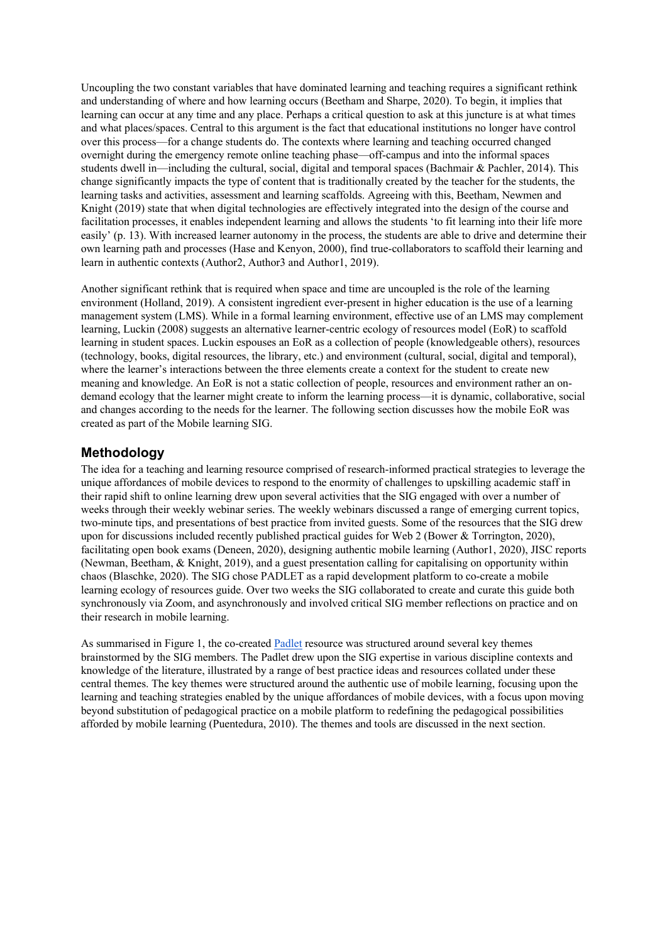Uncoupling the two constant variables that have dominated learning and teaching requires a significant rethink and understanding of where and how learning occurs (Beetham and Sharpe, 2020). To begin, it implies that learning can occur at any time and any place. Perhaps a critical question to ask at this juncture is at what times and what places/spaces. Central to this argument is the fact that educational institutions no longer have control over this process—for a change students do. The contexts where learning and teaching occurred changed overnight during the emergency remote online teaching phase—off-campus and into the informal spaces students dwell in—including the cultural, social, digital and temporal spaces (Bachmair & Pachler, 2014). This change significantly impacts the type of content that is traditionally created by the teacher for the students, the learning tasks and activities, assessment and learning scaffolds. Agreeing with this, Beetham, Newmen and Knight (2019) state that when digital technologies are effectively integrated into the design of the course and facilitation processes, it enables independent learning and allows the students 'to fit learning into their life more easily' (p. 13). With increased learner autonomy in the process, the students are able to drive and determine their own learning path and processes (Hase and Kenyon, 2000), find true-collaborators to scaffold their learning and learn in authentic contexts (Author2, Author3 and Author1, 2019).

Another significant rethink that is required when space and time are uncoupled is the role of the learning environment (Holland, 2019). A consistent ingredient ever-present in higher education is the use of a learning management system (LMS). While in a formal learning environment, effective use of an LMS may complement learning, Luckin (2008) suggests an alternative learner-centric ecology of resources model (EoR) to scaffold learning in student spaces. Luckin espouses an EoR as a collection of people (knowledgeable others), resources (technology, books, digital resources, the library, etc.) and environment (cultural, social, digital and temporal), where the learner's interactions between the three elements create a context for the student to create new meaning and knowledge. An EoR is not a static collection of people, resources and environment rather an ondemand ecology that the learner might create to inform the learning process—it is dynamic, collaborative, social and changes according to the needs for the learner. The following section discusses how the mobile EoR was created as part of the Mobile learning SIG.

#### **Methodology**

The idea for a teaching and learning resource comprised of research-informed practical strategies to leverage the unique affordances of mobile devices to respond to the enormity of challenges to upskilling academic staff in their rapid shift to online learning drew upon several activities that the SIG engaged with over a number of weeks through their weekly webinar series. The weekly webinars discussed a range of emerging current topics, two-minute tips, and presentations of best practice from invited guests. Some of the resources that the SIG drew upon for discussions included recently published practical guides for Web 2 (Bower & Torrington, 2020), facilitating open book exams (Deneen, 2020), designing authentic mobile learning (Author1, 2020), JISC reports (Newman, Beetham, & Knight, 2019), and a guest presentation calling for capitalising on opportunity within chaos (Blaschke, 2020). The SIG chose PADLET as a rapid development platform to co-create a mobile learning ecology of resources guide. Over two weeks the SIG collaborated to create and curate this guide both synchronously via Zoom, and asynchronously and involved critical SIG member reflections on practice and on their research in mobile learning.

As summarised in Figure 1, the co-created Padlet resource was structured around several key themes brainstormed by the SIG members. The Padlet drew upon the SIG expertise in various discipline contexts and knowledge of the literature, illustrated by a range of best practice ideas and resources collated under these central themes. The key themes were structured around the authentic use of mobile learning, focusing upon the learning and teaching strategies enabled by the unique affordances of mobile devices, with a focus upon moving beyond substitution of pedagogical practice on a mobile platform to redefining the pedagogical possibilities afforded by mobile learning (Puentedura, 2010). The themes and tools are discussed in the next section.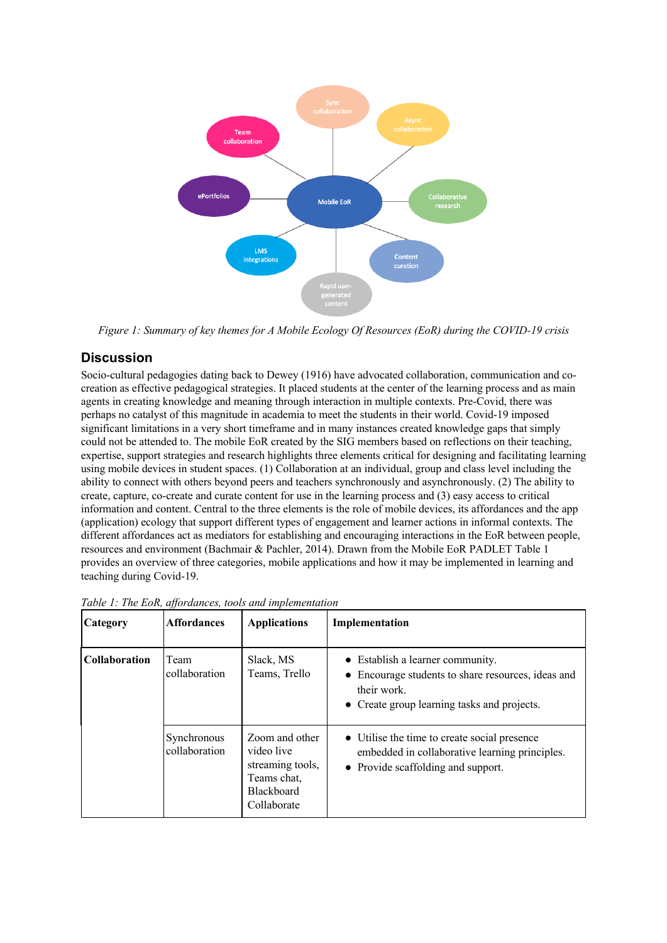

*Figure 1: Summary of key themes for A Mobile Ecology Of Resources (EoR) during the COVID-19 crisis*

# **Discussion**

Socio-cultural pedagogies dating back to Dewey (1916) have advocated collaboration, communication and cocreation as effective pedagogical strategies. It placed students at the center of the learning process and as main agents in creating knowledge and meaning through interaction in multiple contexts. Pre-Covid, there was perhaps no catalyst of this magnitude in academia to meet the students in their world. Covid-19 imposed significant limitations in a very short timeframe and in many instances created knowledge gaps that simply could not be attended to. The mobile EoR created by the SIG members based on reflections on their teaching, expertise, support strategies and research highlights three elements critical for designing and facilitating learning using mobile devices in student spaces. (1) Collaboration at an individual, group and class level including the ability to connect with others beyond peers and teachers synchronously and asynchronously. (2) The ability to create, capture, co-create and curate content for use in the learning process and (3) easy access to critical information and content. Central to the three elements is the role of mobile devices, its affordances and the app (application) ecology that support different types of engagement and learner actions in informal contexts. The different affordances act as mediators for establishing and encouraging interactions in the EoR between people, resources and environment (Bachmair & Pachler, 2014). Drawn from the Mobile EoR PADLET Table 1 provides an overview of three categories, mobile applications and how it may be implemented in learning and teaching during Covid-19.

| Category      | <b>Affordances</b>           | <b>Applications</b>                                                                                 | Implementation                                                                                                                                                  |
|---------------|------------------------------|-----------------------------------------------------------------------------------------------------|-----------------------------------------------------------------------------------------------------------------------------------------------------------------|
| Collaboration | Team<br>collaboration        | Slack, MS<br>Teams, Trello                                                                          | • Establish a learner community.<br>Encourage students to share resources, ideas and<br>$\bullet$<br>their work.<br>• Create group learning tasks and projects. |
|               | Synchronous<br>collaboration | Zoom and other<br>video live<br>streaming tools,<br>Teams chat,<br><b>Blackboard</b><br>Collaborate | • Utilise the time to create social presence<br>embedded in collaborative learning principles.<br>• Provide scaffolding and support.                            |

*Table 1: The EoR, affordances, tools and implementation*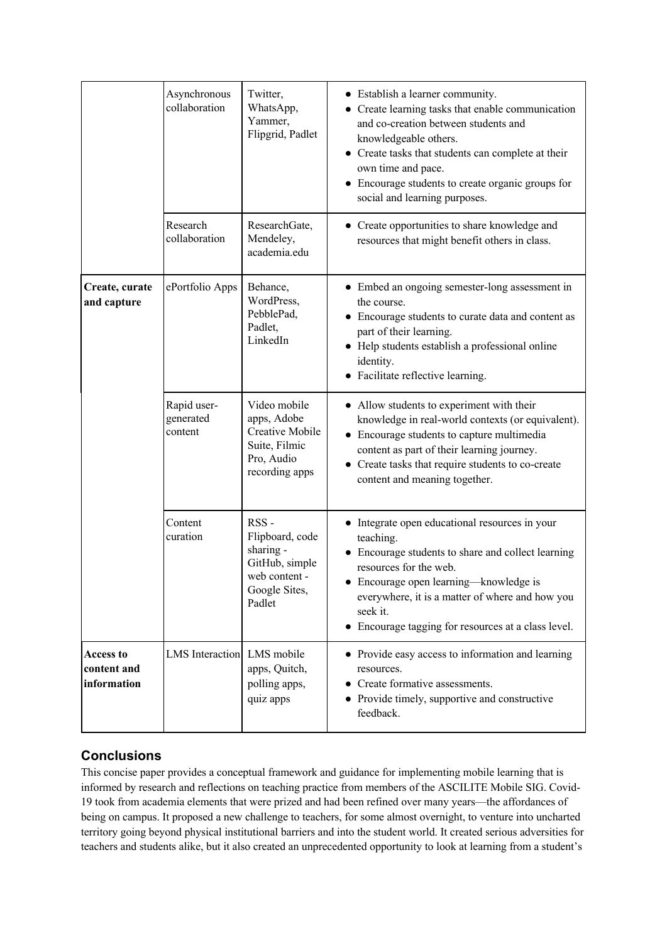|                                                | Asynchronous<br>collaboration       | Twitter,<br>WhatsApp,<br>Yammer,<br>Flipgrid, Padlet                                               | • Establish a learner community.<br>• Create learning tasks that enable communication<br>and co-creation between students and<br>knowledgeable others.<br>• Create tasks that students can complete at their<br>own time and pace.<br>Encourage students to create organic groups for<br>social and learning purposes. |
|------------------------------------------------|-------------------------------------|----------------------------------------------------------------------------------------------------|------------------------------------------------------------------------------------------------------------------------------------------------------------------------------------------------------------------------------------------------------------------------------------------------------------------------|
|                                                | Research<br>collaboration           | ResearchGate,<br>Mendeley,<br>academia.edu                                                         | • Create opportunities to share knowledge and<br>resources that might benefit others in class.                                                                                                                                                                                                                         |
| Create, curate<br>and capture                  | ePortfolio Apps                     | Behance,<br>WordPress,<br>PebblePad,<br>Padlet,<br>LinkedIn                                        | • Embed an ongoing semester-long assessment in<br>the course.<br>Encourage students to curate data and content as<br>part of their learning.<br>• Help students establish a professional online<br>identity.<br>Facilitate reflective learning.                                                                        |
|                                                | Rapid user-<br>generated<br>content | Video mobile<br>apps, Adobe<br>Creative Mobile<br>Suite, Filmic<br>Pro, Audio<br>recording apps    | • Allow students to experiment with their<br>knowledge in real-world contexts (or equivalent).<br>• Encourage students to capture multimedia<br>content as part of their learning journey.<br>Create tasks that require students to co-create<br>content and meaning together.                                         |
|                                                | Content<br>curation                 | RSS-<br>Flipboard, code<br>sharing -<br>GitHub, simple<br>web content -<br>Google Sites,<br>Padlet | • Integrate open educational resources in your<br>teaching.<br>• Encourage students to share and collect learning<br>resources for the web.<br>Encourage open learning—knowledge is<br>everywhere, it is a matter of where and how you<br>seek it.<br>Encourage tagging for resources at a class level.                |
| <b>Access to</b><br>content and<br>information | LMS Interaction LMS mobile          | apps, Quitch,<br>polling apps,<br>quiz apps                                                        | • Provide easy access to information and learning<br>resources.<br>• Create formative assessments.<br>Provide timely, supportive and constructive<br>feedback.                                                                                                                                                         |

# **Conclusions**

This concise paper provides a conceptual framework and guidance for implementing mobile learning that is informed by research and reflections on teaching practice from members of the ASCILITE Mobile SIG. Covid-19 took from academia elements that were prized and had been refined over many years—the affordances of being on campus. It proposed a new challenge to teachers, for some almost overnight, to venture into uncharted territory going beyond physical institutional barriers and into the student world. It created serious adversities for teachers and students alike, but it also created an unprecedented opportunity to look at learning from a student's